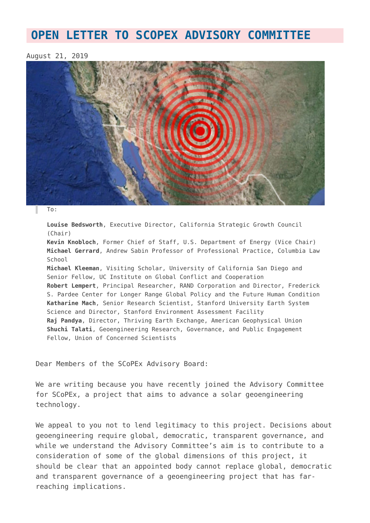## **[OPEN LETTER TO SCOPEX ADVISORY COMMITTEE](https://www.geoengineeringmonitor.org/2019/08/open-letter-scopex/)**

## August 21, 2019



To:

**Louise Bedsworth**, Executive Director, California Strategic Growth Council (Chair)

**Kevin Knobloch**, Former Chief of Staff, U.S. Department of Energy (Vice Chair) **Michael Gerrard**, Andrew Sabin Professor of Professional Practice, Columbia Law School

**Michael Kleeman**, Visiting Scholar, University of California San Diego and Senior Fellow, UC Institute on Global Conflict and Cooperation **Robert Lempert**, Principal Researcher, RAND Corporation and Director, Frederick S. Pardee Center for Longer Range Global Policy and the Future Human Condition **Katharine Mach**, Senior Research Scientist, Stanford University Earth System Science and Director, Stanford Environment Assessment Facility **Raj Pandya**, Director, Thriving Earth Exchange, American Geophysical Union **Shuchi Talati**, Geoengineering Research, Governance, and Public Engagement Fellow, Union of Concerned Scientists

Dear Members of the SCoPEx Advisory Board:

We are writing because you have recently joined the Advisory Committee for SCoPEx, a project that aims to advance a solar geoengineering technology.

We appeal to you not to lend legitimacy to this project. Decisions about geoengineering require global, democratic, transparent governance, and while we understand the Advisory Committee's aim is to contribute to a consideration of some of the global dimensions of this project, it should be clear that an appointed body cannot replace global, democratic and transparent governance of a geoengineering project that has farreaching implications.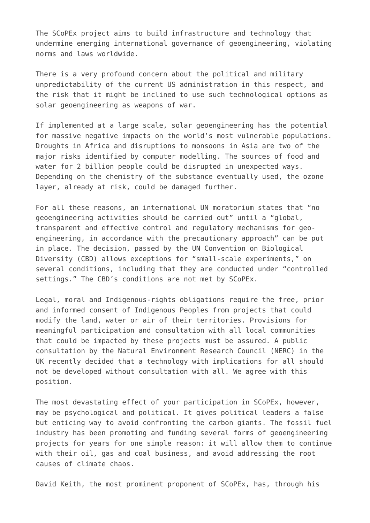The SCoPEx project aims to build infrastructure and technology that undermine emerging international governance of geoengineering, violating norms and laws worldwide.

There is a very profound concern about the political and military unpredictability of the current US administration in this respect, and the risk that it might be inclined to use such technological options as solar geoengineering as weapons of war.

If implemented at a large scale, solar geoengineering has the potential for massive negative impacts on the world's most vulnerable populations. Droughts in Africa and disruptions to monsoons in Asia are two of the major risks identified by computer modelling. The sources of food and water for 2 billion people could be disrupted in unexpected ways. Depending on the chemistry of the substance eventually used, the ozone layer, already at risk, could be damaged further.

For all these reasons, an international UN moratorium states that "no geoengineering activities should be carried out" until a "global, transparent and effective control and regulatory mechanisms for geoengineering, in accordance with the precautionary approach" can be put in place. The decision, passed by the UN Convention on Biological Diversity (CBD) allows exceptions for "small-scale experiments," on several conditions, including that they are conducted under "controlled settings." The CBD's conditions are not met by SCoPEx.

Legal, moral and Indigenous-rights obligations require the free, prior and informed consent of Indigenous Peoples from projects that could modify the land, water or air of their territories. Provisions for meaningful participation and consultation with all local communities that could be impacted by these projects must be assured. A public consultation by the Natural Environment Research Council (NERC) in the UK recently decided that a technology with implications for all should not be developed without consultation with all. We agree with this position.

The most devastating effect of your participation in SCoPEx, however, may be psychological and political. It gives political leaders a false but enticing way to avoid confronting the carbon giants. The fossil fuel industry has been promoting and funding several forms of geoengineering projects for years for one simple reason: it will allow them to continue with their oil, gas and coal business, and avoid addressing the root causes of climate chaos.

David Keith, the most prominent proponent of SCoPEx, has, through his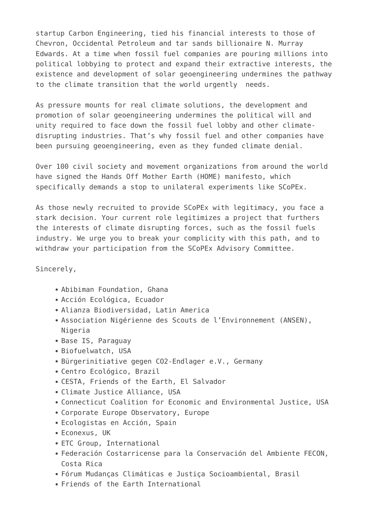startup Carbon Engineering, tied his financial interests to those of Chevron, Occidental Petroleum and tar sands billionaire N. Murray Edwards. At a time when fossil fuel companies are pouring millions into political lobbying to protect and expand their extractive interests, the existence and development of solar geoengineering undermines the pathway to the climate transition that the world urgently needs.

As pressure mounts for real climate solutions, the development and promotion of solar geoengineering undermines the political will and unity required to face down the fossil fuel lobby and other climatedisrupting industries. That's why fossil fuel and other companies have been pursuing geoengineering, even as they funded climate denial.

Over 100 civil society and movement organizations from around the world have signed the Hands Off Mother Earth (HOME) manifesto, which specifically demands a stop to unilateral experiments like SCoPEx.

As those newly recruited to provide SCoPEx with legitimacy, you face a stark decision. Your current role legitimizes a project that furthers the interests of climate disrupting forces, such as the fossil fuels industry. We urge you to break your complicity with this path, and to withdraw your participation from the SCoPEx Advisory Committee.

## Sincerely,

- Abibiman Foundation, Ghana
- Acción Ecológica, Ecuador
- Alianza Biodiversidad, Latin America
- Association Nigérienne des Scouts de l'Environnement (ANSEN), Nigeria
- Base IS, Paraguay
- Biofuelwatch, USA
- Bürgerinitiative gegen CO2-Endlager e.V., Germany
- Centro Ecológico, Brazil
- CESTA, Friends of the Earth, El Salvador
- Climate Justice Alliance, USA
- Connecticut Coalition for Economic and Environmental Justice, USA
- Corporate Europe Observatory, Europe
- Ecologistas en Acción, Spain
- Econexus, UK
- ETC Group, International
- Federación Costarricense para la Conservación del Ambiente FECON, Costa Rica
- Fórum Mudanças Climáticas e Justiça Socioambiental, Brasil
- Friends of the Earth International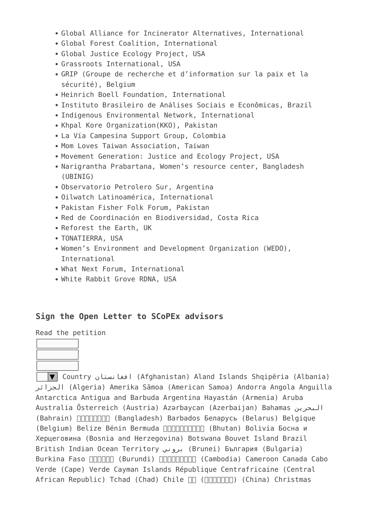- Global Alliance for Incinerator Alternatives, International
- Global Forest Coalition, International
- Global Justice Ecology Project, USA
- Grassroots International, USA
- GRIP (Groupe de recherche et d'information sur la paix et la sécurité), Belgium
- Heinrich Boell Foundation, International
- Instituto Brasileiro de Análises Sociais e Econômicas, Brazil
- Indigenous Environmental Network, International
- Khpal Kore Organization(KKO), Pakistan
- La Vía Campesina Support Group, Colombia
- Mom Loves Taiwan Association, Taiwan
- Movement Generation: Justice and Ecology Project, USA
- Narigrantha Prabartana, Women's resource center, Bangladesh (UBINIG)
- Observatorio Petrolero Sur, Argentina
- Oilwatch Latinoamérica, International
- Pakistan Fisher Folk Forum, Pakistan
- Red de Coordinación en Biodiversidad, Costa Rica
- Reforest the Earth, UK
- TONATIERRA, USA
- Women's Environment and Development Organization (WEDO), International
- What Next Forum, International
- White Rabbit Grove RDNA, USA

## **Sign the Open Letter to SCoPEx advisors**

Read the petition



▼ Country افغانستان) Afghanistan) Aland Islands Shqipëria (Albania) الجزائر) Algeria) Amerika Sāmoa (American Samoa) Andorra Angola Anguilla Antarctica Antigua and Barbuda Argentina Hayastán (Armenia) Aruba Australia Österreich (Austria) Azərbaycan (Azerbaijan) Bahamas البحرين (Bahrain)  $\Box\Box\Box\Box\Box\Box\Box$  (Bangladesh) Barbados Беларусь (Belarus) Belgique (Belgium) Belize Bénin Bermuda **[**I] [] [] (Bhutan) Bolivia Босна и Херцеговина (Bosnia and Herzegovina) Botswana Bouvet Island Brazil British Indian Ocean Territory بروني) Brunei) България (Bulgaria) Burkina Faso **HARIM (Burundi) HARIMHAN (Cambodia) Cameroon Canada Cabo** Verde (Cape) Verde Cayman Islands République Centrafricaine (Central African Republic) Tchad (Chad) Chile  $\Pi$  ( $\Pi$  $\Pi$  $\Pi$  $\Pi$  $\Pi$  $\Pi$ ) (China) Christmas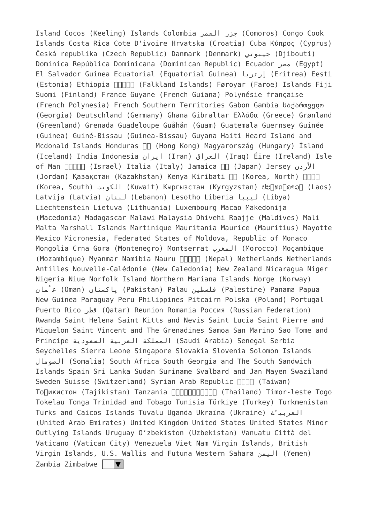Island Cocos (Keeling) Islands Colombia القمر جزر) Comoros) Congo Cook Islands Costa Rica Cote D'ivoire Hrvatska (Croatia) Cuba Κύπρος (Cyprus) Česká republika (Czech Republic) Danmark (Denmark) جيبوتي) Djibouti) Dominica República Dominicana (Dominican Republic) Ecuador مصر) Egypt) El Salvador Guinea Ecuatorial (Equatorial Guinea) إرتريا) Eritrea) Eesti (Estonia) Ethiopia **[**[[[[Calkland Islands) Føroyar (Faroe) Islands Fiji Suomi (Finland) France Guyane (French Guiana) Polynésie française (French Polynesia) French Southern Territories Gabon Gambia საქართველო (Georgia) Deutschland (Germany) Ghana Gibraltar Ελλάδα (Greece) Grønland (Greenland) Grenada Guadeloupe Guåhån (Guam) Guatemala Guernsey Guinée (Guinea) Guiné-Bissau (Guinea-Bissau) Guyana Haiti Heard Island and Mcdonald Islands Honduras  $\Pi$  (Hong Kong) Magyarország (Hungary) Ísland (Iceland) India Indonesia ایران) Iran) العراق) Iraq) Éire (Ireland) Isle of Man ישראל) Israel) Italia (Italy) Jamaica 日本 (Japan) Jersey الأردن (Jordan) Қазақстан (Kazakhstan) Kenya Kiribati  $\Box$  (Korea, North)  $\Box\Box\Box$ (Korea, South) الكويت) Kuwait) Кыргызстан (Kyrgyzstan) ປະເທດລາວ (Laos) Latvija (Latvia) لبنان) Lebanon) Lesotho Liberia ليبيا) Libya) Liechtenstein Lietuva (Lithuania) Luxembourg Macao Makedonija (Macedonia) Madagascar Malawi Malaysia Dhivehi Raajje (Maldives) Mali Malta Marshall Islands Martinique Mauritania Maurice (Mauritius) Mayotte Mexico Micronesia, Federated States of Moldova, Republic of Monaco Mongolia Crna Gora (Montenegro) Montserrat المغرب) Morocco) Moçambique (Mozambique) Myanmar Namibia Nauru no (Nepal) Netherlands Netherlands Antilles Nouvelle-Calédonie (New Caledonia) New Zealand Nicaragua Niger Nigeria Niue Norfolk Island Northern Mariana Islands Norge (Norway) مانُع) Oman) پاکستان) Pakistan) Palau فلسطين) Palestine) Panama Papua New Guinea Paraguay Peru Philippines Pitcairn Polska (Poland) Portugal Puerto Rico قطر) Qatar) Reunion Romania Россия (Russian Federation) Rwanda Saint Helena Saint Kitts and Nevis Saint Lucia Saint Pierre and Miquelon Saint Vincent and The Grenadines Samoa San Marino Sao Tome and Principe السعودية العربية المملكة) Saudi Arabia) Senegal Serbia Seychelles Sierra Leone Singapore Slovakia Slovenia Solomon Islands الصومال) Somalia) South Africa South Georgia and The South Sandwich Islands Spain Sri Lanka Sudan Suriname Svalbard and Jan Mayen Swaziland Sweden Suisse (Switzerland) Syrian Arab Republic **FIFIT** (Taiwan) То∏икистон (Tajikistan) Tanzania ∏∏∏∏∏∏∏∏∏∏ (Thailand) Timor-leste Togo Tokelau Tonga Trinidad and Tobago Tunisia Türkiye (Turkey) Turkmenistan Turks and Caicos Islands Tuvalu Uganda Ukraїna (Ukraine) ةّالعربي (United Arab Emirates) United Kingdom United States United States Minor Outlying Islands Uruguay O'zbekiston (Uzbekistan) Vanuatu Città del Vaticano (Vatican City) Venezuela Viet Nam Virgin Islands, British Virgin Islands, U.S. Wallis and Futuna Western Sahara اليمن) Yemen) Zambia Zimbabwe  $\boxed{\blacktriangledown}$